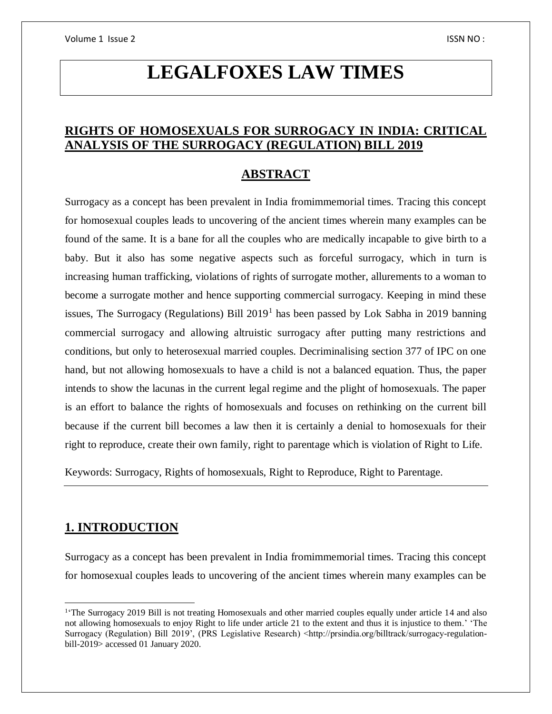# **LEGALFOXES LAW TIMES**

### **RIGHTS OF HOMOSEXUALS FOR SURROGACY IN INDIA: CRITICAL ANALYSIS OF THE SURROGACY (REGULATION) BILL 2019**

### **ABSTRACT**

Surrogacy as a concept has been prevalent in India fromimmemorial times. Tracing this concept for homosexual couples leads to uncovering of the ancient times wherein many examples can be found of the same. It is a bane for all the couples who are medically incapable to give birth to a baby. But it also has some negative aspects such as forceful surrogacy, which in turn is increasing human trafficking, violations of rights of surrogate mother, allurements to a woman to become a surrogate mother and hence supporting commercial surrogacy. Keeping in mind these issues, The Surrogacy (Regulations) Bill  $2019<sup>1</sup>$  has been passed by Lok Sabha in 2019 banning commercial surrogacy and allowing altruistic surrogacy after putting many restrictions and conditions, but only to heterosexual married couples. Decriminalising section 377 of IPC on one hand, but not allowing homosexuals to have a child is not a balanced equation. Thus, the paper intends to show the lacunas in the current legal regime and the plight of homosexuals. The paper is an effort to balance the rights of homosexuals and focuses on rethinking on the current bill because if the current bill becomes a law then it is certainly a denial to homosexuals for their right to reproduce, create their own family, right to parentage which is violation of Right to Life.

Keywords: Surrogacy, Rights of homosexuals, Right to Reproduce, Right to Parentage.

### **1. INTRODUCTION**

 $\overline{a}$ 

Surrogacy as a concept has been prevalent in India fromimmemorial times. Tracing this concept for homosexual couples leads to uncovering of the ancient times wherein many examples can be

<sup>&</sup>lt;sup>1</sup>The Surrogacy 2019 Bill is not treating Homosexuals and other married couples equally under article 14 and also not allowing homosexuals to enjoy Right to life under article 21 to the extent and thus it is injustice to them.' 'The Surrogacy (Regulation) Bill 2019', (PRS Legislative Research) <http://prsindia.org/billtrack/surrogacy-regulationbill-2019> accessed 01 January 2020.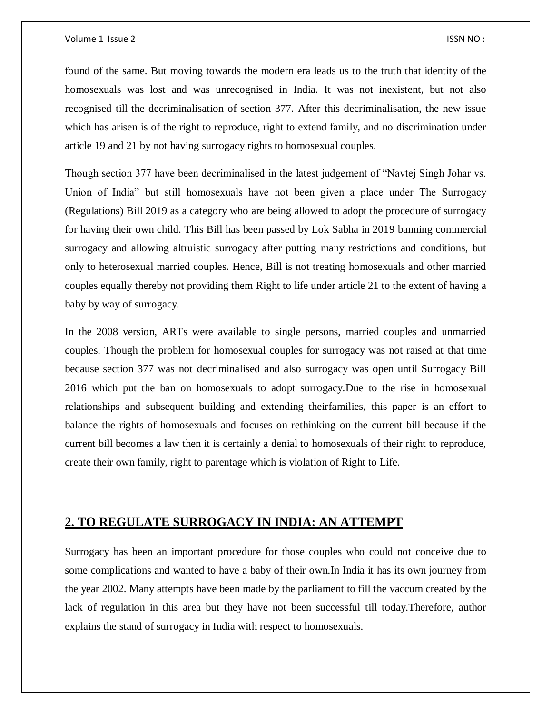#### Volume 1 Issue 2 ISSN NO :

found of the same. But moving towards the modern era leads us to the truth that identity of the homosexuals was lost and was unrecognised in India. It was not inexistent, but not also recognised till the decriminalisation of section 377. After this decriminalisation, the new issue which has arisen is of the right to reproduce, right to extend family, and no discrimination under article 19 and 21 by not having surrogacy rights to homosexual couples.

Though section 377 have been decriminalised in the latest judgement of "Navtej Singh Johar vs. Union of India" but still homosexuals have not been given a place under The Surrogacy (Regulations) Bill 2019 as a category who are being allowed to adopt the procedure of surrogacy for having their own child. This Bill has been passed by Lok Sabha in 2019 banning commercial surrogacy and allowing altruistic surrogacy after putting many restrictions and conditions, but only to heterosexual married couples. Hence, Bill is not treating homosexuals and other married couples equally thereby not providing them Right to life under article 21 to the extent of having a baby by way of surrogacy.

In the 2008 version, ARTs were available to single persons, married couples and unmarried couples. Though the problem for homosexual couples for surrogacy was not raised at that time because section 377 was not decriminalised and also surrogacy was open until Surrogacy Bill 2016 which put the ban on homosexuals to adopt surrogacy.Due to the rise in homosexual relationships and subsequent building and extending theirfamilies, this paper is an effort to balance the rights of homosexuals and focuses on rethinking on the current bill because if the current bill becomes a law then it is certainly a denial to homosexuals of their right to reproduce, create their own family, right to parentage which is violation of Right to Life.

### **2. TO REGULATE SURROGACY IN INDIA: AN ATTEMPT**

Surrogacy has been an important procedure for those couples who could not conceive due to some complications and wanted to have a baby of their own.In India it has its own journey from the year 2002. Many attempts have been made by the parliament to fill the vaccum created by the lack of regulation in this area but they have not been successful till today.Therefore, author explains the stand of surrogacy in India with respect to homosexuals.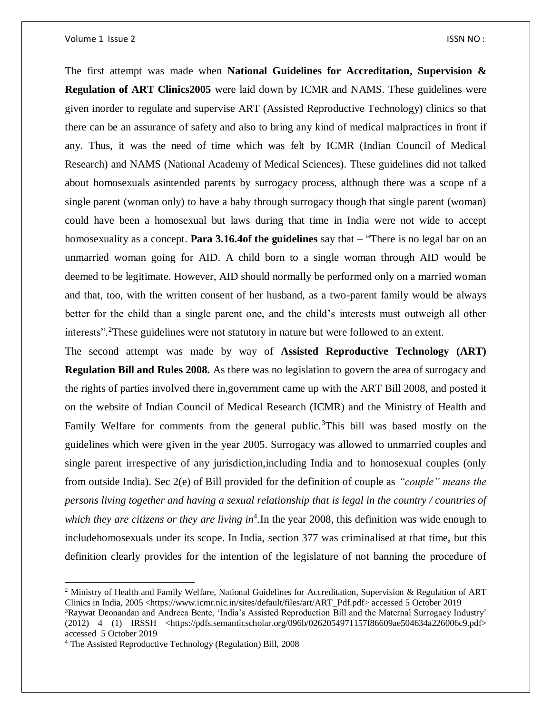#### Volume 1 Issue 2 ISSN NO :

The first attempt was made when **National Guidelines for Accreditation, Supervision & Regulation of ART Clinics2005** were laid down by ICMR and NAMS. These guidelines were given inorder to regulate and supervise ART (Assisted Reproductive Technology) clinics so that there can be an assurance of safety and also to bring any kind of medical malpractices in front if any. Thus, it was the need of time which was felt by ICMR (Indian Council of Medical Research) and NAMS (National Academy of Medical Sciences). These guidelines did not talked about homosexuals asintended parents by surrogacy process, although there was a scope of a single parent (woman only) to have a baby through surrogacy though that single parent (woman) could have been a homosexual but laws during that time in India were not wide to accept homosexuality as a concept. **Para 3.16.4of the guidelines** say that – "There is no legal bar on an unmarried woman going for AID. A child born to a single woman through AID would be deemed to be legitimate. However, AID should normally be performed only on a married woman and that, too, with the written consent of her husband, as a two-parent family would be always better for the child than a single parent one, and the child's interests must outweigh all other interests"*.* <sup>2</sup>These guidelines were not statutory in nature but were followed to an extent.

The second attempt was made by way of **Assisted Reproductive Technology (ART) Regulation Bill and Rules 2008.** As there was no legislation to govern the area of surrogacy and the rights of parties involved there in,government came up with the ART Bill 2008, and posted it on the website of Indian Council of Medical Research (ICMR) and the Ministry of Health and Family Welfare for comments from the general public.<sup>3</sup>This bill was based mostly on the guidelines which were given in the year 2005. Surrogacy was allowed to unmarried couples and single parent irrespective of any jurisdiction,including India and to homosexual couples (only from outside India). Sec 2(e) of Bill provided for the definition of couple as *"couple" means the persons living together and having a sexual relationship that is legal in the country / countries of*  which they are citizens or they are living in<sup>4</sup>. In the year 2008, this definition was wide enough to includehomosexuals under its scope. In India, section 377 was criminalised at that time, but this definition clearly provides for the intention of the legislature of not banning the procedure of

 $\overline{a}$ 

<sup>&</sup>lt;sup>2</sup> Ministry of Health and Family Welfare, National Guidelines for Accreditation, Supervision & Regulation of ART Clinics in India, 2005 <https://www.icmr.nic.in/sites/default/files/art/ART\_Pdf.pdf> accessed 5 October 2019 <sup>3</sup>Raywat Deonandan and Andreea Bente, 'India's Assisted Reproduction Bill and the Maternal Surrogacy Industry' (2012) 4 (1) IRSSH <https://pdfs.semanticscholar.org/096b/0262054971157f86609ae504634a226006c9.pdf>

accessed 5 October 2019

<sup>4</sup> The Assisted Reproductive Technology (Regulation) Bill, 2008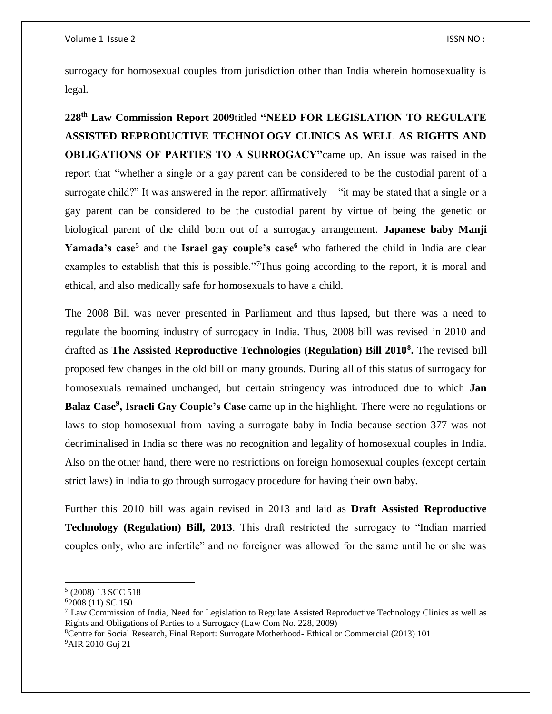surrogacy for homosexual couples from jurisdiction other than India wherein homosexuality is legal.

**228th Law Commission Report 2009**titled **"NEED FOR LEGISLATION TO REGULATE ASSISTED REPRODUCTIVE TECHNOLOGY CLINICS AS WELL AS RIGHTS AND OBLIGATIONS OF PARTIES TO A SURROGACY"**came up. An issue was raised in the report that "whether a single or a gay parent can be considered to be the custodial parent of a surrogate child?" It was answered in the report affirmatively – "it may be stated that a single or a gay parent can be considered to be the custodial parent by virtue of being the genetic or biological parent of the child born out of a surrogacy arrangement. **Japanese baby Manji**  Yamada's case<sup>5</sup> and the **Israel gay couple's case<sup>6</sup>** who fathered the child in India are clear examples to establish that this is possible."<sup>7</sup>Thus going according to the report, it is moral and ethical, and also medically safe for homosexuals to have a child.

The 2008 Bill was never presented in Parliament and thus lapsed, but there was a need to regulate the booming industry of surrogacy in India. Thus, 2008 bill was revised in 2010 and drafted as **The Assisted Reproductive Technologies (Regulation) Bill 2010<sup>8</sup> .** The revised bill proposed few changes in the old bill on many grounds. During all of this status of surrogacy for homosexuals remained unchanged, but certain stringency was introduced due to which **Jan Balaz Case<sup>9</sup> , Israeli Gay Couple's Case** came up in the highlight. There were no regulations or laws to stop homosexual from having a surrogate baby in India because section 377 was not decriminalised in India so there was no recognition and legality of homosexual couples in India. Also on the other hand, there were no restrictions on foreign homosexual couples (except certain strict laws) in India to go through surrogacy procedure for having their own baby.

Further this 2010 bill was again revised in 2013 and laid as **Draft Assisted Reproductive Technology (Regulation) Bill, 2013**. This draft restricted the surrogacy to "Indian married couples only, who are infertile" and no foreigner was allowed for the same until he or she was

 $\overline{a}$ 

<sup>5</sup> (2008) 13 SCC 518

<sup>6</sup>2008 (11) SC 150

<sup>7</sup> Law Commission of India, Need for Legislation to Regulate Assisted Reproductive Technology Clinics as well as Rights and Obligations of Parties to a Surrogacy (Law Com No. 228, 2009)

<sup>8</sup>Centre for Social Research, Final Report: Surrogate Motherhood- Ethical or Commercial (2013) 101 9AIR 2010 Guj 21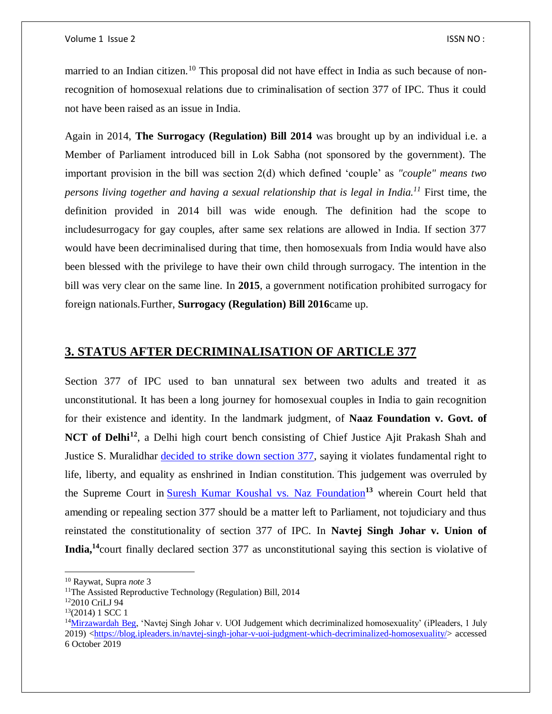married to an Indian citizen.<sup>10</sup> This proposal did not have effect in India as such because of nonrecognition of homosexual relations due to criminalisation of section 377 of IPC. Thus it could not have been raised as an issue in India.

Again in 2014, **The Surrogacy (Regulation) Bill 2014** was brought up by an individual i.e. a Member of Parliament introduced bill in Lok Sabha (not sponsored by the government). The important provision in the bill was section 2(d) which defined 'couple' as *"couple" means two persons living together and having a sexual relationship that is legal in India.<sup>11</sup>* First time, the definition provided in 2014 bill was wide enough. The definition had the scope to includesurrogacy for gay couples, after same sex relations are allowed in India. If section 377 would have been decriminalised during that time, then homosexuals from India would have also been blessed with the privilege to have their own child through surrogacy. The intention in the bill was very clear on the same line. In **2015**, a government notification prohibited surrogacy for foreign nationals.Further, **Surrogacy (Regulation) Bill 2016**came up.

### **3. STATUS AFTER DECRIMINALISATION OF ARTICLE 377**

Section 377 of IPC used to ban unnatural sex between two adults and treated it as unconstitutional. It has been a long journey for homosexual couples in India to gain recognition for their existence and identity. In the landmark judgment, of **Naaz Foundation v. Govt. of NCT of Delhi<sup>12</sup>**, a Delhi high court bench consisting of Chief Justice Ajit Prakash Shah and Justice S. Muralidhar [decided to strike down section 377,](https://www.thehindu.com/todays-paper/Delhi-High-Court-strikes-down-Section-377-of-IPC/article16546323.ece) saying it violates fundamental right to life, liberty, and equality as enshrined in Indian constitution. This judgement was overruled by the Supreme Court in [Suresh Kumar Koushal vs. Naz Foundation](https://en.wikipedia.org/wiki/Suresh_Kumar_Koushal_vs._Naz_Foundation)**<sup>13</sup>** wherein Court held that amending or repealing section 377 should be a matter left to Parliament, not tojudiciary and thus reinstated the constitutionality of section 377 of IPC. In **Navtej Singh Johar v. Union of India,<sup>14</sup>**court finally declared section 377 as unconstitutional saying this section is violative of

 $\overline{\phantom{a}}$ 

<sup>10</sup> Raywat, Supra *note* 3

<sup>&</sup>lt;sup>11</sup>The Assisted Reproductive Technology (Regulation) Bill, 2014

<sup>12</sup>2010 CriLJ 94

 $13(2014)$  1 SCC 1

<sup>&</sup>lt;sup>14</sup>[Mirzawardah Beg,](https://blog.ipleaders.in/author/mirzawardahbeg/) 'Navtej Singh Johar v. UOI Judgement which decriminalized homosexuality' (iPleaders, 1 July 2019) [<https://blog.ipleaders.in/navtej-singh-johar-v-uoi-judgment-which-decriminalized-homosexuality/>](https://blog.ipleaders.in/navtej-singh-johar-v-uoi-judgment-which-decriminalized-homosexuality/) accessed 6 October 2019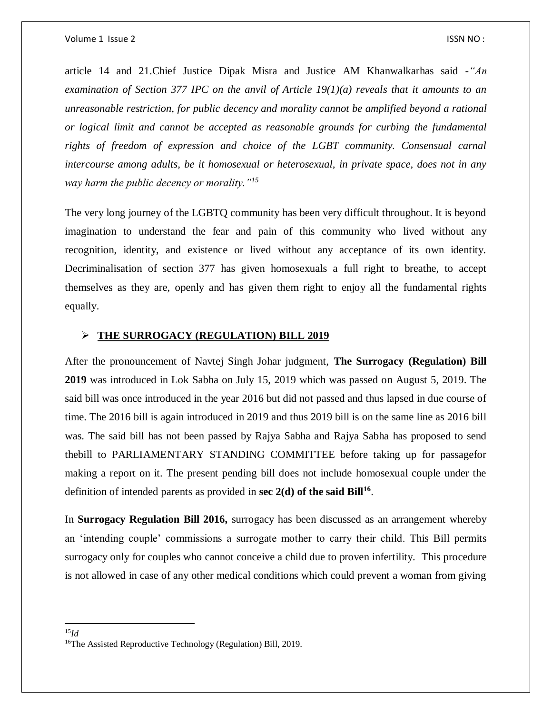article 14 and 21.Chief Justice Dipak Misra and Justice AM Khanwalkarhas said -*"An examination of Section 377 IPC on the anvil of Article 19(1)(a) reveals that it amounts to an unreasonable restriction, for public decency and morality cannot be amplified beyond a rational or logical limit and cannot be accepted as reasonable grounds for curbing the fundamental rights of freedom of expression and choice of the LGBT community. Consensual carnal intercourse among adults, be it homosexual or heterosexual, in private space, does not in any way harm the public decency or morality."<sup>15</sup>*

The very long journey of the LGBTQ community has been very difficult throughout. It is beyond imagination to understand the fear and pain of this community who lived without any recognition, identity, and existence or lived without any acceptance of its own identity. Decriminalisation of section 377 has given homosexuals a full right to breathe, to accept themselves as they are, openly and has given them right to enjoy all the fundamental rights equally.

#### **THE SURROGACY (REGULATION) BILL 2019**

After the pronouncement of Navtej Singh Johar judgment, **The Surrogacy (Regulation) Bill 2019** was introduced in Lok Sabha on July 15, 2019 which was passed on August 5, 2019. The said bill was once introduced in the year 2016 but did not passed and thus lapsed in due course of time. The 2016 bill is again introduced in 2019 and thus 2019 bill is on the same line as 2016 bill was. The said bill has not been passed by Rajya Sabha and Rajya Sabha has proposed to send thebill to PARLIAMENTARY STANDING COMMITTEE before taking up for passagefor making a report on it. The present pending bill does not include homosexual couple under the definition of intended parents as provided in **sec 2(d) of the said Bill<sup>16</sup>** .

In **Surrogacy Regulation Bill 2016,** surrogacy has been discussed as an arrangement whereby an 'intending couple' commissions a surrogate mother to carry their child. This Bill permits surrogacy only for couples who cannot conceive a child due to proven infertility. This procedure is not allowed in case of any other medical conditions which could prevent a woman from giving

 $\overline{\phantom{a}}$ <sup>15</sup>*Id*

<sup>&</sup>lt;sup>16</sup>The Assisted Reproductive Technology (Regulation) Bill, 2019.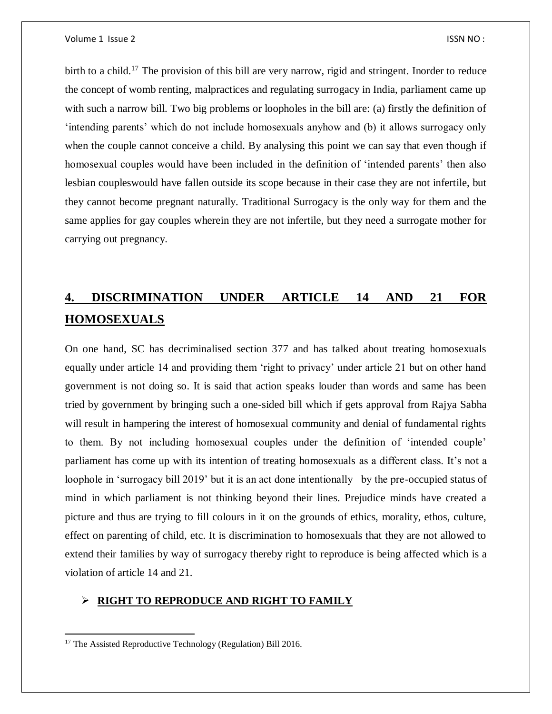birth to a child.<sup>17</sup> The provision of this bill are very narrow, rigid and stringent. Inorder to reduce the concept of womb renting, malpractices and regulating surrogacy in India, parliament came up with such a narrow bill. Two big problems or loopholes in the bill are: (a) firstly the definition of 'intending parents' which do not include homosexuals anyhow and (b) it allows surrogacy only when the couple cannot conceive a child. By analysing this point we can say that even though if homosexual couples would have been included in the definition of 'intended parents' then also lesbian coupleswould have fallen outside its scope because in their case they are not infertile, but they cannot become pregnant naturally. Traditional Surrogacy is the only way for them and the same applies for gay couples wherein they are not infertile, but they need a surrogate mother for carrying out pregnancy.

## **4. DISCRIMINATION UNDER ARTICLE 14 AND 21 FOR HOMOSEXUALS**

On one hand, SC has decriminalised section 377 and has talked about treating homosexuals equally under article 14 and providing them 'right to privacy' under article 21 but on other hand government is not doing so. It is said that action speaks louder than words and same has been tried by government by bringing such a one-sided bill which if gets approval from Rajya Sabha will result in hampering the interest of homosexual community and denial of fundamental rights to them. By not including homosexual couples under the definition of 'intended couple' parliament has come up with its intention of treating homosexuals as a different class. It's not a loophole in 'surrogacy bill 2019' but it is an act done intentionally by the pre-occupied status of mind in which parliament is not thinking beyond their lines. Prejudice minds have created a picture and thus are trying to fill colours in it on the grounds of ethics, morality, ethos, culture, effect on parenting of child, etc. It is discrimination to homosexuals that they are not allowed to extend their families by way of surrogacy thereby right to reproduce is being affected which is a violation of article 14 and 21.

#### **RIGHT TO REPRODUCE AND RIGHT TO FAMILY**

 $\overline{a}$ <sup>17</sup> The Assisted Reproductive Technology (Regulation) Bill 2016.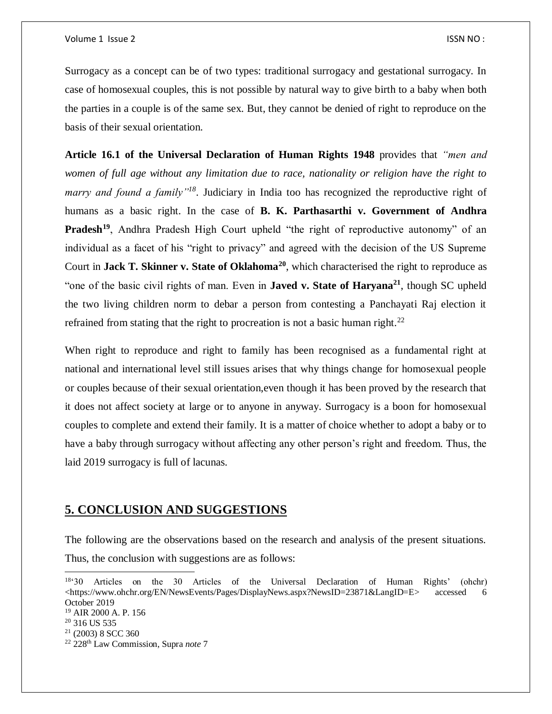Surrogacy as a concept can be of two types: traditional surrogacy and gestational surrogacy. In case of homosexual couples, this is not possible by natural way to give birth to a baby when both the parties in a couple is of the same sex. But, they cannot be denied of right to reproduce on the basis of their sexual orientation.

**Article 16.1 of the Universal Declaration of Human Rights 1948** provides that *"men and women of full age without any limitation due to race, nationality or religion have the right to marry and found a family"<sup>18</sup>*. Judiciary in India too has recognized the reproductive right of humans as a basic right. In the case of **B. K. Parthasarthi v. Government of Andhra Pradesh<sup>19</sup>**, Andhra Pradesh High Court upheld "the right of reproductive autonomy" of an individual as a facet of his "right to privacy" and agreed with the decision of the US Supreme Court in **Jack T. Skinner v. State of Oklahoma<sup>20</sup>**, which characterised the right to reproduce as "one of the basic civil rights of man. Even in **Javed v. State of Haryana<sup>21</sup>**, though SC upheld the two living children norm to debar a person from contesting a Panchayati Raj election it refrained from stating that the right to procreation is not a basic human right.<sup>22</sup>

When right to reproduce and right to family has been recognised as a fundamental right at national and international level still issues arises that why things change for homosexual people or couples because of their sexual orientation,even though it has been proved by the research that it does not affect society at large or to anyone in anyway. Surrogacy is a boon for homosexual couples to complete and extend their family. It is a matter of choice whether to adopt a baby or to have a baby through surrogacy without affecting any other person's right and freedom. Thus, the laid 2019 surrogacy is full of lacunas.

### **5. CONCLUSION AND SUGGESTIONS**

The following are the observations based on the research and analysis of the present situations. Thus, the conclusion with suggestions are as follows:

 $\overline{\phantom{a}}$ 

<sup>18</sup>'30 Articles on the 30 Articles of the Universal Declaration of Human Rights' (ohchr) <https://www.ohchr.org/EN/NewsEvents/Pages/DisplayNews.aspx?NewsID=23871&LangID=E> accessed 6 October 2019

<sup>19</sup> AIR 2000 A. P. 156

<sup>&</sup>lt;sup>20</sup> 316 US 535

<sup>21</sup> (2003) 8 SCC 360

<sup>22</sup> 228th Law Commission, Supra *note* 7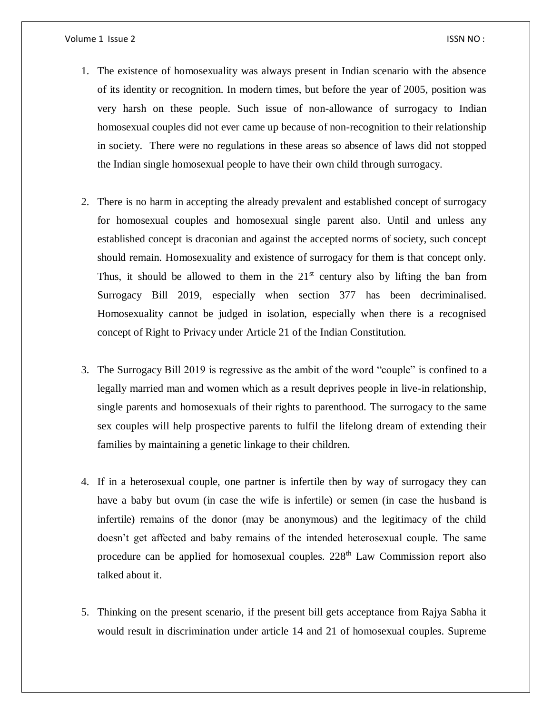- 1. The existence of homosexuality was always present in Indian scenario with the absence of its identity or recognition. In modern times, but before the year of 2005, position was very harsh on these people. Such issue of non-allowance of surrogacy to Indian homosexual couples did not ever came up because of non-recognition to their relationship in society. There were no regulations in these areas so absence of laws did not stopped the Indian single homosexual people to have their own child through surrogacy.
- 2. There is no harm in accepting the already prevalent and established concept of surrogacy for homosexual couples and homosexual single parent also. Until and unless any established concept is draconian and against the accepted norms of society, such concept should remain. Homosexuality and existence of surrogacy for them is that concept only. Thus, it should be allowed to them in the  $21<sup>st</sup>$  century also by lifting the ban from Surrogacy Bill 2019, especially when section 377 has been decriminalised. Homosexuality cannot be judged in isolation, especially when there is a recognised concept of Right to Privacy under Article 21 of the Indian Constitution.
- 3. The Surrogacy Bill 2019 is regressive as the ambit of the word "couple" is confined to a legally married man and women which as a result deprives people in live-in relationship, single parents and homosexuals of their rights to parenthood. The surrogacy to the same sex couples will help prospective parents to fulfil the lifelong dream of extending their families by maintaining a genetic linkage to their children.
- 4. If in a heterosexual couple, one partner is infertile then by way of surrogacy they can have a baby but ovum (in case the wife is infertile) or semen (in case the husband is infertile) remains of the donor (may be anonymous) and the legitimacy of the child doesn't get affected and baby remains of the intended heterosexual couple. The same procedure can be applied for homosexual couples.  $228<sup>th</sup>$  Law Commission report also talked about it.
- 5. Thinking on the present scenario, if the present bill gets acceptance from Rajya Sabha it would result in discrimination under article 14 and 21 of homosexual couples. Supreme